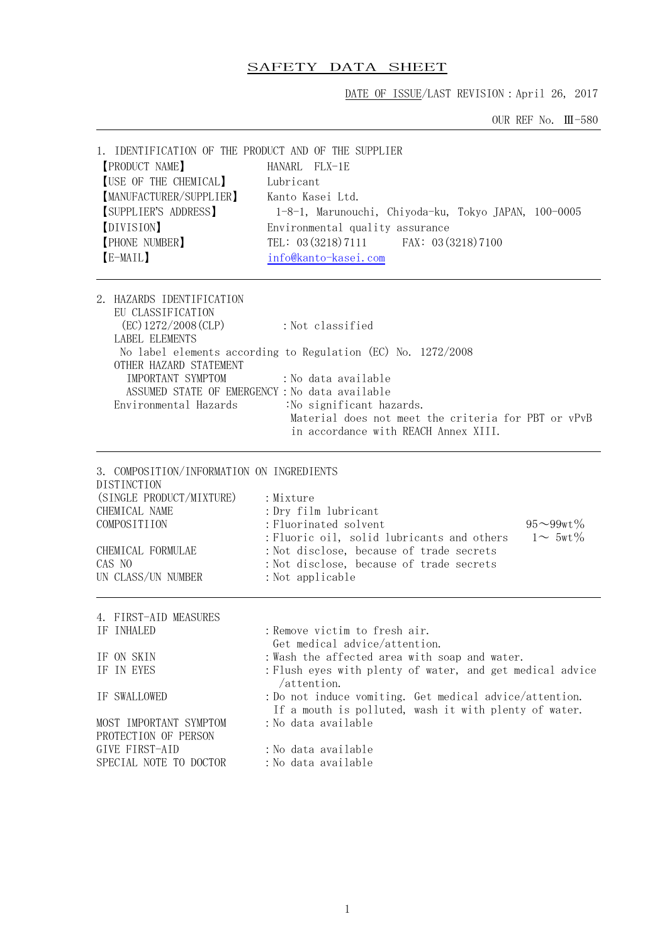# SAFETY DATA SHEET

DATE OF ISSUE/LAST REVISION:April 26, 2017

OUR REF No. Ⅲ-580

| 1. IDENTIFICATION OF THE PRODUCT AND OF THE SUPPLIER                                                                                                                                                                                                                                                                                                                                                                                                              |                                                                                                                                                                                                                                                             |  |  |  |
|-------------------------------------------------------------------------------------------------------------------------------------------------------------------------------------------------------------------------------------------------------------------------------------------------------------------------------------------------------------------------------------------------------------------------------------------------------------------|-------------------------------------------------------------------------------------------------------------------------------------------------------------------------------------------------------------------------------------------------------------|--|--|--|
| <b>[PRODUCT NAME]</b>                                                                                                                                                                                                                                                                                                                                                                                                                                             | HANARL FLX-1E                                                                                                                                                                                                                                               |  |  |  |
| [USE OF THE CHEMICAL]                                                                                                                                                                                                                                                                                                                                                                                                                                             | Lubricant                                                                                                                                                                                                                                                   |  |  |  |
| [MANUFACTURER/SUPPLIER]                                                                                                                                                                                                                                                                                                                                                                                                                                           | Kanto Kasei Ltd.                                                                                                                                                                                                                                            |  |  |  |
| SUPPLIER'S ADDRESS)                                                                                                                                                                                                                                                                                                                                                                                                                                               | 1-8-1, Marunouchi, Chiyoda-ku, Tokyo JAPAN, 100-0005                                                                                                                                                                                                        |  |  |  |
| [DIVISION]                                                                                                                                                                                                                                                                                                                                                                                                                                                        | Environmental quality assurance<br>TEL: 03 (3218) 7111 FAX: 03 (3218) 7100                                                                                                                                                                                  |  |  |  |
| [PHONE NUMBER]                                                                                                                                                                                                                                                                                                                                                                                                                                                    |                                                                                                                                                                                                                                                             |  |  |  |
| [E-MAIL]                                                                                                                                                                                                                                                                                                                                                                                                                                                          | info@kanto-kasei.com                                                                                                                                                                                                                                        |  |  |  |
| 2. HAZARDS IDENTIFICATION<br>EU CLASSIFICATION<br>$(EC)$ 1272/2008 $(CLP)$<br>: Not classified<br><b>LABEL ELEMENTS</b><br>No label elements according to Regulation (EC) No. 1272/2008<br>OTHER HAZARD STATEMENT<br>IMPORTANT SYMPTOM<br>:No data available<br>ASSUMED STATE OF EMERGENCY: No data available<br>Environmental Hazards<br>:No significant hazards.<br>Material does not meet the criteria for PBT or vPvB<br>in accordance with REACH Annex XIII. |                                                                                                                                                                                                                                                             |  |  |  |
| 3. COMPOSITION/INFORMATION ON INGREDIENTS<br>DISTINCTION<br>(SINGLE PRODUCT/MIXTURE)<br>CHEMICAL NAME<br>COMPOSITIION<br>CHEMICAL FORMULAE<br>CAS NO<br>UN CLASS/UN NUMBER                                                                                                                                                                                                                                                                                        | : Mixture<br>: Dry film lubricant<br>: Fluorinated solvent<br>$95 - 99$ wt%<br>$1 \sim 5$ wt $\%$<br>: Fluoric oil, solid lubricants and others<br>: Not disclose, because of trade secrets<br>: Not disclose, because of trade secrets<br>: Not applicable |  |  |  |
| 4. FIRST-AID MEASURES<br>IF INHALED                                                                                                                                                                                                                                                                                                                                                                                                                               | : Remove victim to fresh air.                                                                                                                                                                                                                               |  |  |  |
|                                                                                                                                                                                                                                                                                                                                                                                                                                                                   | Get medical advice/attention.                                                                                                                                                                                                                               |  |  |  |
| IF ON SKIN                                                                                                                                                                                                                                                                                                                                                                                                                                                        | : Wash the affected area with soap and water.                                                                                                                                                                                                               |  |  |  |
| IF IN EYES                                                                                                                                                                                                                                                                                                                                                                                                                                                        | : Flush eyes with plenty of water, and get medical advice                                                                                                                                                                                                   |  |  |  |
| IF SWALLOWED                                                                                                                                                                                                                                                                                                                                                                                                                                                      | /attention.<br>: Do not induce vomiting. Get medical advice/attention.                                                                                                                                                                                      |  |  |  |
| MOST IMPORTANT SYMPTOM<br>PROTECTION OF PERSON                                                                                                                                                                                                                                                                                                                                                                                                                    | If a mouth is polluted, wash it with plenty of water.<br>:No data available                                                                                                                                                                                 |  |  |  |
| GIVE FIRST-AID                                                                                                                                                                                                                                                                                                                                                                                                                                                    | :No data available                                                                                                                                                                                                                                          |  |  |  |
| SPECIAL NOTE TO DOCTOR                                                                                                                                                                                                                                                                                                                                                                                                                                            | : No data available                                                                                                                                                                                                                                         |  |  |  |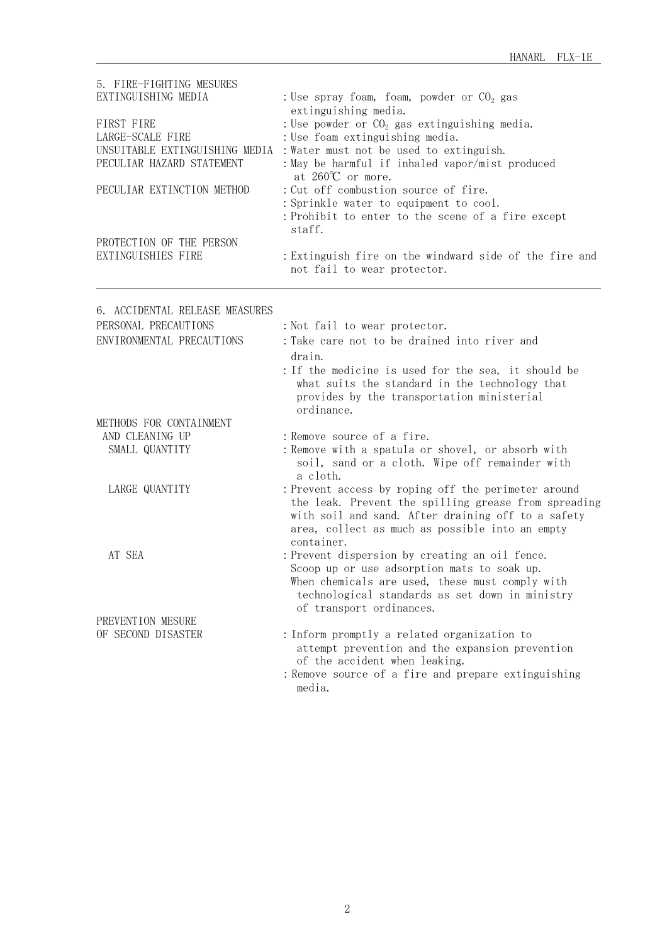| 5. FIRE-FIGHTING MESURES<br>EXTINGUISHING MEDIA<br>FIRST FIRE<br>LARGE-SCALE FIRE<br>UNSUITABLE EXTINGUISHING MEDIA<br>PECULIAR HAZARD STATEMENT<br>PECULIAR EXTINCTION METHOD<br>PROTECTION OF THE PERSON<br>EXTINGUISHIES FIRE | : Use spray foam, foam, powder or $CO2$ gas<br>extinguishing media.<br>: Use powder or $CO2$ gas extinguishing media.<br>: Use foam extinguishing media.<br>: Water must not be used to extinguish.<br>: May be harmful if inhaled vapor/mist produced<br>at $260^{\circ}$ or more.<br>: Cut off combustion source of fire.<br>: Sprinkle water to equipment to cool.<br>: Prohibit to enter to the scene of a fire except<br>staff.<br>: Extinguish fire on the windward side of the fire and<br>not fail to wear protector. |
|----------------------------------------------------------------------------------------------------------------------------------------------------------------------------------------------------------------------------------|-------------------------------------------------------------------------------------------------------------------------------------------------------------------------------------------------------------------------------------------------------------------------------------------------------------------------------------------------------------------------------------------------------------------------------------------------------------------------------------------------------------------------------|
| 6. ACCIDENTAL RELEASE MEASURES                                                                                                                                                                                                   |                                                                                                                                                                                                                                                                                                                                                                                                                                                                                                                               |
| PERSONAL PRECAUTIONS                                                                                                                                                                                                             | : Not fail to wear protector.                                                                                                                                                                                                                                                                                                                                                                                                                                                                                                 |
| ENVIRONMENTAL PRECAUTIONS                                                                                                                                                                                                        | : Take care not to be drained into river and                                                                                                                                                                                                                                                                                                                                                                                                                                                                                  |
|                                                                                                                                                                                                                                  | drain.                                                                                                                                                                                                                                                                                                                                                                                                                                                                                                                        |
|                                                                                                                                                                                                                                  | : If the medicine is used for the sea, it should be<br>what suits the standard in the technology that<br>provides by the transportation ministerial<br>ordinance.                                                                                                                                                                                                                                                                                                                                                             |
| METHODS FOR CONTAINMENT                                                                                                                                                                                                          |                                                                                                                                                                                                                                                                                                                                                                                                                                                                                                                               |
| AND CLEANING UP                                                                                                                                                                                                                  | : Remove source of a fire.                                                                                                                                                                                                                                                                                                                                                                                                                                                                                                    |
| SMALL QUANTITY                                                                                                                                                                                                                   | : Remove with a spatula or shovel, or absorb with<br>soil, sand or a cloth. Wipe off remainder with<br>a cloth.                                                                                                                                                                                                                                                                                                                                                                                                               |
| LARGE QUANTITY                                                                                                                                                                                                                   | : Prevent access by roping off the perimeter around<br>the leak. Prevent the spilling grease from spreading<br>with soil and sand. After draining off to a safety<br>area, collect as much as possible into an empty<br>container.                                                                                                                                                                                                                                                                                            |
| AT SEA                                                                                                                                                                                                                           | : Prevent dispersion by creating an oil fence.<br>Scoop up or use adsorption mats to soak up.<br>When chemicals are used, these must comply with<br>technological standards as set down in ministry<br>of transport ordinances.                                                                                                                                                                                                                                                                                               |
| PREVENTION MESURE                                                                                                                                                                                                                |                                                                                                                                                                                                                                                                                                                                                                                                                                                                                                                               |
| OF SECOND DISASTER                                                                                                                                                                                                               | : Inform promptly a related organization to<br>attempt prevention and the expansion prevention<br>of the accident when leaking.<br>: Remove source of a fire and prepare extinguishing<br>media.                                                                                                                                                                                                                                                                                                                              |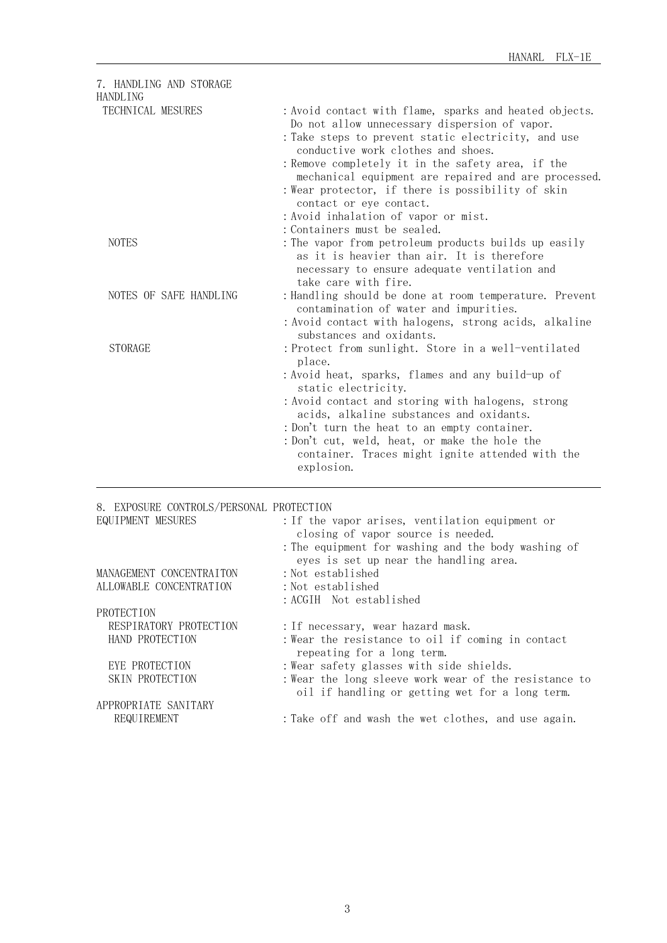| 7. HANDLING AND STORAGE<br><b>HANDLING</b> |                                                                                                                                                                                                                                                                                                                                                                                                                                           |
|--------------------------------------------|-------------------------------------------------------------------------------------------------------------------------------------------------------------------------------------------------------------------------------------------------------------------------------------------------------------------------------------------------------------------------------------------------------------------------------------------|
| TECHNICAL MESURES                          | : Avoid contact with flame, sparks and heated objects.<br>Do not allow unnecessary dispersion of vapor.<br>: Take steps to prevent static electricity, and use<br>conductive work clothes and shoes.<br>: Remove completely it in the safety area, if the<br>mechanical equipment are repaired and are processed.<br>: Wear protector, if there is possibility of skin<br>contact or eye contact.<br>: Avoid inhalation of vapor or mist. |
| <b>NOTES</b>                               | : Containers must be sealed.<br>: The vapor from petroleum products builds up easily<br>as it is heavier than air. It is therefore<br>necessary to ensure adequate ventilation and<br>take care with fire.                                                                                                                                                                                                                                |
| NOTES OF SAFE HANDLING                     | : Handling should be done at room temperature. Prevent<br>contamination of water and impurities.<br>: Avoid contact with halogens, strong acids, alkaline<br>substances and oxidants.                                                                                                                                                                                                                                                     |
| <b>STORAGE</b>                             | : Protect from sunlight. Store in a well-ventilated<br>place.<br>: Avoid heat, sparks, flames and any build-up of<br>static electricity.<br>: Avoid contact and storing with halogens, strong<br>acids, alkaline substances and oxidants.<br>: Don't turn the heat to an empty container.<br>: Don't cut, weld, heat, or make the hole the<br>container. Traces might ignite attended with the<br>explosion.                              |

## 8. EXPOSURE CONTROLS/PERSONAL PROTECTION

| EQUIPMENT MESURES        | : If the vapor arises, ventilation equipment or<br>closing of vapor source is needed.                   |
|--------------------------|---------------------------------------------------------------------------------------------------------|
|                          | : The equipment for washing and the body washing of<br>eyes is set up near the handling area.           |
| MANAGEMENT CONCENTRAITON | : Not established                                                                                       |
| ALLOWABLE CONCENTRATION  | : Not established                                                                                       |
|                          | : ACGIH Not established                                                                                 |
| <b>PROTECTION</b>        |                                                                                                         |
| RESPIRATORY PROTECTION   | : If necessary, wear hazard mask.                                                                       |
| HAND PROTECTION          | : Wear the resistance to oil if coming in contact<br>repeating for a long term.                         |
| EYE PROTECTION           | : Wear safety glasses with side shields.                                                                |
| SKIN PROTECTION          | :Wear the long sleeve work wear of the resistance to<br>oil if handling or getting wet for a long term. |
| APPROPRIATE SANITARY     |                                                                                                         |
| REQUIREMENT              | : Take off and wash the wet clothes, and use again.                                                     |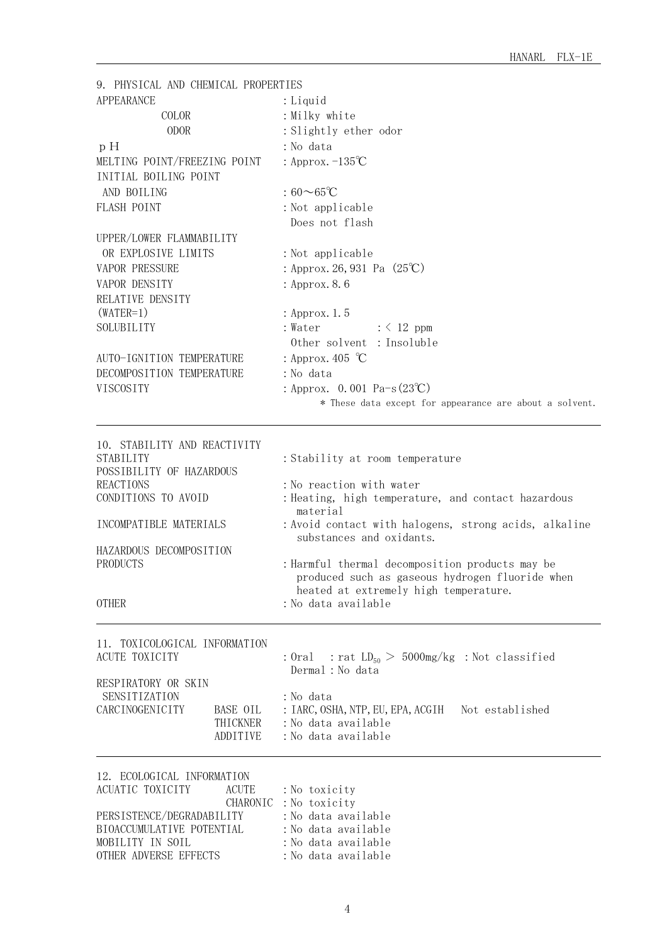| 9. PHYSICAL AND CHEMICAL PROPERTIES           |                                                         |  |  |  |
|-----------------------------------------------|---------------------------------------------------------|--|--|--|
| <b>APPEARANCE</b>                             | : Liquid                                                |  |  |  |
| COLOR                                         | : Milky white                                           |  |  |  |
| <b>ODOR</b>                                   | : Slightly ether odor                                   |  |  |  |
| pH                                            | : No data                                               |  |  |  |
| MELTING POINT/FREEZING POINT                  | : Approx. $-135^{\circ}C$                               |  |  |  |
| INITIAL BOILING POINT                         |                                                         |  |  |  |
| AND BOILING                                   | $:60\infty 65^{\circ}C$                                 |  |  |  |
| FLASH POINT                                   | : Not applicable                                        |  |  |  |
|                                               | Does not flash                                          |  |  |  |
|                                               |                                                         |  |  |  |
| UPPER/LOWER FLAMMABILITY                      |                                                         |  |  |  |
| OR EXPLOSIVE LIMITS                           | : Not applicable                                        |  |  |  |
| VAPOR PRESSURE                                | : Approx. 26, 931 Pa $(25^{\circ}\text{C})$             |  |  |  |
| VAPOR DENSITY                                 | : Approx. 8.6                                           |  |  |  |
| RELATIVE DENSITY                              |                                                         |  |  |  |
| $(WATER=1)$                                   | : Approx. 1.5                                           |  |  |  |
| SOLUBILITY                                    | : Water<br>$: \langle 12 \text{ ppm}$                   |  |  |  |
|                                               | Other solvent : Insoluble                               |  |  |  |
| AUTO-IGNITION TEMPERATURE                     | : Approx. 405 $\degree$ C                               |  |  |  |
| DECOMPOSITION TEMPERATURE                     | : No data                                               |  |  |  |
| VISCOSITY                                     | : Approx. 0.001 Pa-s $(23^{\circ}\text{C})$             |  |  |  |
|                                               | * These data except for appearance are about a solvent. |  |  |  |
|                                               |                                                         |  |  |  |
| 10. STABILITY AND REACTIVITY                  |                                                         |  |  |  |
| STABILITY                                     | : Stability at room temperature                         |  |  |  |
| POSSIBILITY OF HAZARDOUS                      |                                                         |  |  |  |
| <b>REACTIONS</b>                              | : No reaction with water                                |  |  |  |
| CONDITIONS TO AVOID                           | : Heating, high temperature, and contact hazardous      |  |  |  |
|                                               | material                                                |  |  |  |
| INCOMPATIBLE MATERIALS                        | : Avoid contact with halogens, strong acids, alkaline   |  |  |  |
| HAZARDOUS DECOMPOSITION                       | substances and oxidants.                                |  |  |  |
| PRODUCTS                                      | : Harmful thermal decomposition products may be         |  |  |  |
|                                               | produced such as gaseous hydrogen fluoride when         |  |  |  |
|                                               | heated at extremely high temperature.                   |  |  |  |
| <b>OTHER</b>                                  | :No data available                                      |  |  |  |
|                                               |                                                         |  |  |  |
| 11. TOXICOLOGICAL INFORMATION                 |                                                         |  |  |  |
| <b>ACUTE TOXICITY</b>                         | : Oral : rat $LD_{50} > 5000$ mg/kg : Not classified    |  |  |  |
|                                               | Dermal : No data                                        |  |  |  |
| RESPIRATORY OR SKIN                           |                                                         |  |  |  |
| SENSITIZATION                                 | : No data                                               |  |  |  |
| CARCINOGENICITY<br>BASE OIL                   | : IARC, OSHA, NTP, EU, EPA, ACGIH Not established       |  |  |  |
| THICKNER                                      | : No data available                                     |  |  |  |
| ADDITIVE                                      | :No data available                                      |  |  |  |
|                                               |                                                         |  |  |  |
| 12. ECOLOGICAL INFORMATION                    |                                                         |  |  |  |
| ACUATIC TOXICITY<br><b>ACUTE</b>              | : No toxicity                                           |  |  |  |
|                                               | CHARONIC : No toxicity                                  |  |  |  |
| PERSISTENCE/DEGRADABILITY                     | : No data available                                     |  |  |  |
| BIOACCUMULATIVE POTENTIAL<br>MOBILITY IN SOIL | : No data available<br>: No data available              |  |  |  |
|                                               |                                                         |  |  |  |

OTHER ADVERSE EFFECTS : No data available